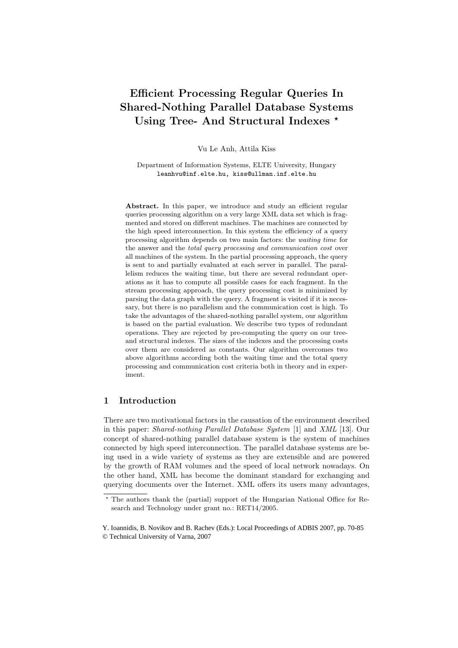# Efficient Processing Regular Queries In Shared-Nothing Parallel Database Systems Using Tree- And Structural Indexes  $\star$

Vu Le Anh, Attila Kiss

Department of Information Systems, ELTE University, Hungary leanhvu@inf.elte.hu, kiss@ullman.inf.elte.hu

Abstract. In this paper, we introduce and study an efficient regular queries processing algorithm on a very large XML data set which is fragmented and stored on different machines. The machines are connected by the high speed interconnection. In this system the efficiency of a query processing algorithm depends on two main factors: the waiting time for the answer and the total query processing and communication cost over all machines of the system. In the partial processing approach, the query is sent to and partially evaluated at each server in parallel. The parallelism reduces the waiting time, but there are several redundant operations as it has to compute all possible cases for each fragment. In the stream processing approach, the query processing cost is minimized by parsing the data graph with the query. A fragment is visited if it is necessary, but there is no parallelism and the communication cost is high. To take the advantages of the shared-nothing parallel system, our algorithm is based on the partial evaluation. We describe two types of redundant operations. They are rejected by pre-computing the query on our treeand structural indexes. The sizes of the indexes and the processing costs over them are considered as constants. Our algorithm overcomes two above algorithms according both the waiting time and the total query processing and communication cost criteria both in theory and in experiment.

# 1 Introduction

There are two motivational factors in the causation of the environment described in this paper: Shared-nothing Parallel Database System [1] and XML [13]. Our concept of shared-nothing parallel database system is the system of machines connected by high speed interconnection. The parallel database systems are being used in a wide variety of systems as they are extensible and are powered by the growth of RAM volumes and the speed of local network nowadays. On the other hand, XML has become the dominant standard for exchanging and querying documents over the Internet. XML offers its users many advantages,

<sup>?</sup> The authors thank the (partial) support of the Hungarian National Office for Research and Technology under grant no.: RET14/2005.

Y. Ioannidis, B. Novikov and B. Rachev (Eds.): Local Proceedings of ADBIS 2007, pp. 70-85 © Technical University of Varna, 2007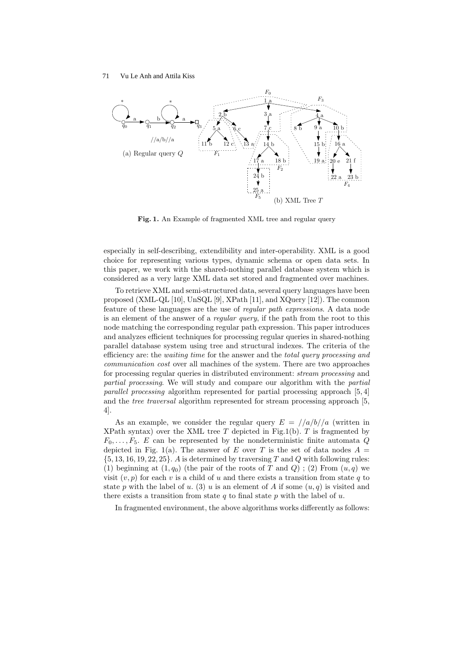

Fig. 1. An Example of fragmented XML tree and regular query

especially in self-describing, extendibility and inter-operability. XML is a good choice for representing various types, dynamic schema or open data sets. In this paper, we work with the shared-nothing parallel database system which is considered as a very large XML data set stored and fragmented over machines.

To retrieve XML and semi-structured data, several query languages have been proposed (XML-QL [10], UnSQL [9], XPath [11], and XQuery [12]). The common feature of these languages are the use of regular path expressions. A data node is an element of the answer of a *regular query*, if the path from the root to this node matching the corresponding regular path expression. This paper introduces and analyzes efficient techniques for processing regular queries in shared-nothing parallel database system using tree and structural indexes. The criteria of the efficiency are: the waiting time for the answer and the total query processing and communication cost over all machines of the system. There are two approaches for processing regular queries in distributed environment: stream processing and partial processing. We will study and compare our algorithm with the partial parallel processing algorithm represented for partial processing approach [5, 4] and the tree traversal algorithm represented for stream processing approach [5, 4].

As an example, we consider the regular query  $E = \frac{1}{a/b}}/a$  (written in XPath syntax) over the XML tree T depicted in Fig.1(b). T is fragmented by  $F_0, \ldots, F_5$ . E can be represented by the nondeterministic finite automata Q depicted in Fig. 1(a). The answer of E over T is the set of data nodes  $A =$  $\{5, 13, 16, 19, 22, 25\}$ . A is determined by traversing T and Q with following rules: (1) beginning at  $(1, q_0)$  (the pair of the roots of T and Q) ; (2) From  $(u, q)$  we visit  $(v, p)$  for each v is a child of u and there exists a transition from state q to state p with the label of u. (3) u is an element of A if some  $(u, q)$  is visited and there exists a transition from state q to final state p with the label of u.

In fragmented environment, the above algorithms works differently as follows: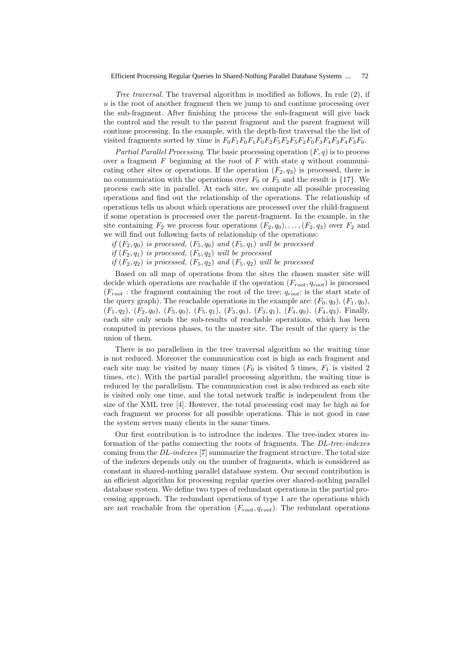Tree traversal. The traversal algorithm is modified as follows. In rule (2), if u is the root of another fragment then we jump to and continue processing over the sub-fragment. After finishing the process the sub-fragment will give back the control and the result to the parent fragment and the parent fragment will continue processing. In the example, with the depth-first traversal the the list of visited fragments sorted by time is  $F_0F_1F_0F_1F_0F_2F_5F_2F_5F_2F_0F_3F_4F_3F_4F_3F_0$ .

Partial Parallel Processing. The basic processing operation  $(F, q)$  is to process over a fragment  $F$  beginning at the root of  $F$  with state  $q$  without communicating other sites or operations. If the operation  $(F_2, q_3)$  is processed, there is no communication with the operations over  $F_0$  or  $F_5$  and the result is {17}. We process each site in parallel. At each site, we compute all possible processing operations and find out the relationship of the operations. The relationship of operations tells us about which operations are processed over the child-fragment if some operation is processed over the parent-fragment. In the example, in the site containing  $F_2$  we process four operations  $(F_2, q_0), \ldots, (F_2, q_3)$  over  $F_2$  and we will find out following facts of relationship of the operations:

- if  $(F_2, q_0)$  is processed,  $(F_5, q_0)$  and  $(F_5, q_1)$  will be processed
- if  $(F_2, q_1)$  is processed,  $(F_5, q_2)$  will be processed
- if  $(F_2, q_2)$  is processed,  $(F_5, q_2)$  and  $(F_5, q_2)$  will be processed

Based on all map of operations from the sites the chosen master site will decide which operations are reachable if the operation  $(F_{root}, q_{root})$  is processed  $(F_{root}:$  the fragment containing the root of the tree;  $q_{root}:$  is the start state of the query graph). The reachable operations in the example are:  $(F_0, q_0)$ ,  $(F_1, q_0)$ ,  $(F_1, q_2)$ ,  $(F_2, q_0)$ ,  $(F_5, q_0)$ ,  $(F_5, q_1)$ ,  $(F_3, q_0)$ ,  $(F_3, q_1)$ ,  $(F_4, q_0)$ ,  $(F_4, q_3)$ . Finally, each site only sends the sub-results of reachable operations, which has been computed in previous phases, to the master site. The result of the query is the union of them.

There is no parallelism in the tree traversal algorithm so the waiting time is not reduced. Moreover the communication cost is high as each fragment and each site may be visited by many times  $(F_0$  is visited 5 times,  $F_1$  is visited 2 times, etc). With the partial parallel processing algorithm, the waiting time is reduced by the parallelism. The communication cost is also reduced as each site is visited only one time, and the total network traffic is independent from the size of the XML tree [4]. However, the total processing cost may be high as for each fragment we process for all possible operations. This is not good in case the system serves many clients in the same times.

Our first contribution is to introduce the indexes. The tree-index stores information of the paths connecting the roots of fragments. The DL-tree-indexes coming from the DL-indexes [7] summarize the fragment structure. The total size of the indexes depends only on the number of fragments, which is considered as constant in shared-nothing parallel database system. Our second contribution is an efficient algorithm for processing regular queries over shared-nothing parallel database system. We define two types of redundant operations in the partial processing approach. The redundant operations of type 1 are the operations which are not reachable from the operation  $(F_{root}, q_{root})$ . The redundant operations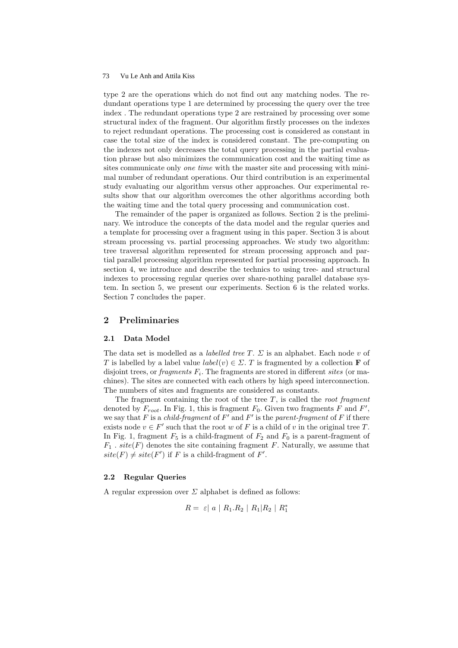type 2 are the operations which do not find out any matching nodes. The redundant operations type 1 are determined by processing the query over the tree index . The redundant operations type 2 are restrained by processing over some structural index of the fragment. Our algorithm firstly processes on the indexes to reject redundant operations. The processing cost is considered as constant in case the total size of the index is considered constant. The pre-computing on the indexes not only decreases the total query processing in the partial evaluation phrase but also minimizes the communication cost and the waiting time as sites communicate only *one time* with the master site and processing with minimal number of redundant operations. Our third contribution is an experimental study evaluating our algorithm versus other approaches. Our experimental results show that our algorithm overcomes the other algorithms according both the waiting time and the total query processing and communication cost.

The remainder of the paper is organized as follows. Section 2 is the preliminary. We introduce the concepts of the data model and the regular queries and a template for processing over a fragment using in this paper. Section 3 is about stream processing vs. partial processing approaches. We study two algorithm: tree traversal algorithm represented for stream processing approach and partial parallel processing algorithm represented for partial processing approach. In section 4, we introduce and describe the technics to using tree- and structural indexes to processing regular queries over share-nothing parallel database system. In section 5, we present our experiments. Section 6 is the related works. Section 7 concludes the paper.

### 2 Preliminaries

#### 2.1 Data Model

The data set is modelled as a *labelled tree T*.  $\Sigma$  is an alphabet. Each node v of T is labelled by a label value  $label(v) \in \Sigma$ . T is fragmented by a collection **F** of disjoint trees, or *fragments*  $F_i$ . The fragments are stored in different *sites* (or machines). The sites are connected with each others by high speed interconnection. The numbers of sites and fragments are considered as constants.

The fragment containing the root of the tree  $T$ , is called the *root fragment* denoted by  $F_{root}$ . In Fig. 1, this is fragment  $F_0$ . Given two fragments F and F', we say that F is a *child-fragment* of  $F'$  and  $F'$  is the parent-fragment of F if there exists node  $v \in F'$  such that the root w of F is a child of v in the original tree T. In Fig. 1, fragment  $F_5$  is a child-fragment of  $F_2$  and  $F_0$  is a parent-fragment of  $F_1$ .  $site(F)$  denotes the site containing fragment F. Naturally, we assume that  $site(F) \neq site(F')$  if F is a child-fragment of F'.

### 2.2 Regular Queries

A regular expression over  $\Sigma$  alphabet is defined as follows:

$$
R = \varepsilon |a| R_1.R_2 | R_1|R_2 | R_1^*
$$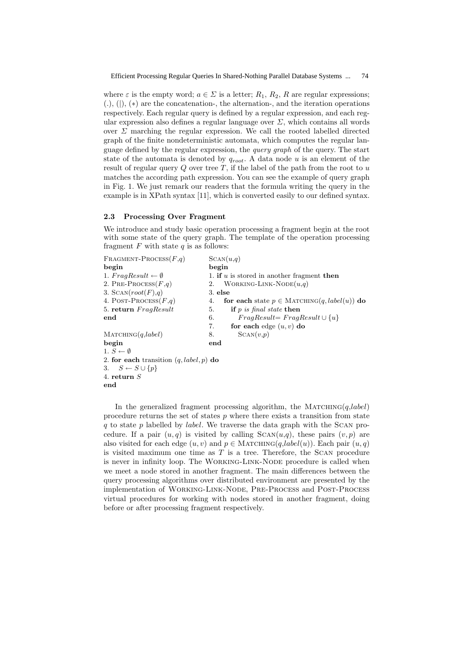where  $\varepsilon$  is the empty word;  $a \in \Sigma$  is a letter;  $R_1, R_2, R$  are regular expressions;  $(., (), (), (*)$  are the concatenation-, the alternation-, and the iteration operations respectively. Each regular query is defined by a regular expression, and each regular expression also defines a regular language over  $\Sigma$ , which contains all words over  $\Sigma$  marching the regular expression. We call the rooted labelled directed graph of the finite nondeterministic automata, which computes the regular language defined by the regular expression, the query graph of the query. The start state of the automata is denoted by  $q_{root}$ . A data node u is an element of the result of regular query  $Q$  over tree  $T$ , if the label of the path from the root to  $u$ matches the according path expression. You can see the example of query graph in Fig. 1. We just remark our readers that the formula writing the query in the example is in XPath syntax [11], which is converted easily to our defined syntax.

#### 2.3 Processing Over Fragment

We introduce and study basic operation processing a fragment begin at the root with some state of the query graph. The template of the operation processing fragment  $F$  with state  $q$  is as follows:

FRAGMENT-PROCESS $(F,q)$  SCAN $(u,q)$ begin<br>
1.  $FraqResult \leftarrow \emptyset$  1. if u 1. if u is stored in another fragment then 2. PRE-PROCESS $(F,q)$  2. WORKING-LINK-NODE $(u,q)$ 3. SCAN $(root(F), q)$  3. else 4. POST-PROCESS(F,q) 4. for each state  $p \in \text{MATCHING}(q, label(u))$  do 5. return  $FragResult$  5. if p is final state then end 6. F  $FragResult = FragResult \cup \{u\}$ 7. for each edge  $(u, v)$  do  $\text{Marcinig}(q, label)$  8. SCAN $(v,p)$ begin end 1.  $S \leftarrow \emptyset$ 2. for each transition  $(q, label, p)$  do 3.  $S \leftarrow S \cup \{p\}$ 4. return S end

In the generalized fragment processing algorithm, the MATCHING $(q, label)$ procedure returns the set of states  $p$  where there exists a transition from state q to state p labelled by *label*. We traverse the data graph with the SCAN procedure. If a pair  $(u, q)$  is visited by calling  $SCAN(u,q)$ , these pairs  $(v, p)$  are also visited for each edge  $(u, v)$  and  $p \in \text{MATCHING}(q, label(u))$ . Each pair  $(u, q)$ is visited maximum one time as  $T$  is a tree. Therefore, the SCAN procedure is never in infinity loop. The Working-Link-Node procedure is called when we meet a node stored in another fragment. The main differences between the query processing algorithms over distributed environment are presented by the implementation of Working-Link-Node, Pre-Process and Post-Process virtual procedures for working with nodes stored in another fragment, doing before or after processing fragment respectively.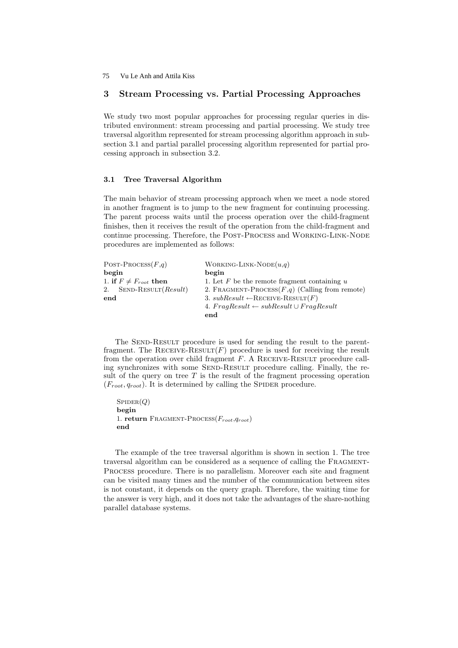# 3 Stream Processing vs. Partial Processing Approaches

We study two most popular approaches for processing regular queries in distributed environment: stream processing and partial processing. We study tree traversal algorithm represented for stream processing algorithm approach in subsection 3.1 and partial parallel processing algorithm represented for partial processing approach in subsection 3.2.

#### 3.1 Tree Traversal Algorithm

The main behavior of stream processing approach when we meet a node stored in another fragment is to jump to the new fragment for continuing processing. The parent process waits until the process operation over the child-fragment finishes, then it receives the result of the operation from the child-fragment and continue processing. Therefore, the Post-Process and Working-Link-Node procedures are implemented as follows:

| POST-PROCESS $(F,q)$         | WORKING-LINK-NODE $(u,q)$                            |
|------------------------------|------------------------------------------------------|
| begin                        | begin                                                |
| 1. if $F \neq F_{root}$ then | 1. Let F be the remote fragment containing $u$       |
| 2. SEND-RESULT $(Result)$    | 2. FRAGMENT-PROCESS $(F,q)$ (Calling from remote)    |
| end                          | 3. $subResult \leftarrow$ RECEIVE-RESULT $(F)$       |
|                              | 4. $FragResult \leftarrow subResult \cup FragResult$ |
|                              | end                                                  |

The SEND-RESULT procedure is used for sending the result to the parentfragment. The RECEIVE-RESULT $(F)$  procedure is used for receiving the result from the operation over child fragment  $F$ . A RECEIVE-RESULT procedure calling synchronizes with some SEND-RESULT procedure calling. Finally, the result of the query on tree  $T$  is the result of the fragment processing operation  $(F_{root}, q_{root})$ . It is determined by calling the SPIDER procedure.

```
SPIDER(Q)begin
1. return FRAGMENT-PROCESS(F_{root}, q_{root})end
```
The example of the tree traversal algorithm is shown in section 1. The tree traversal algorithm can be considered as a sequence of calling the Fragment-Process procedure. There is no parallelism. Moreover each site and fragment can be visited many times and the number of the communication between sites is not constant, it depends on the query graph. Therefore, the waiting time for the answer is very high, and it does not take the advantages of the share-nothing parallel database systems.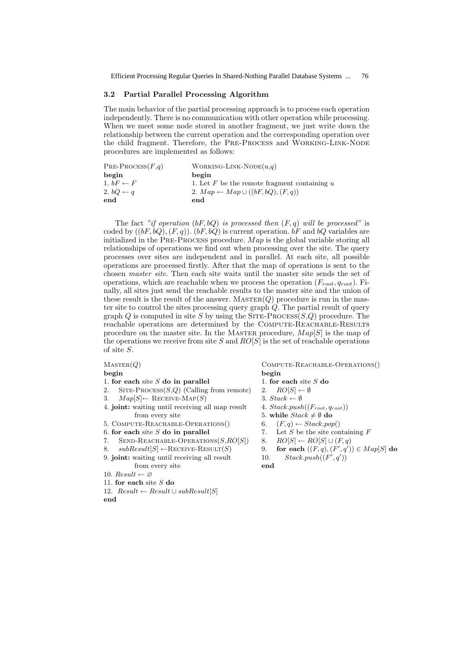76 Efficient Processing Regular Queries In Shared-Nothing Parallel Database Systems ... 76

#### 3.2 Partial Parallel Processing Algorithm

The main behavior of the partial processing approach is to process each operation independently. There is no communication with other operation while processing. When we meet some node stored in another fragment, we just write down the relationship between the current operation and the corresponding operation over the child fragment. Therefore, the PRE-PROCESS and WORKING-LINK-NODE procedures are implemented as follows:

| $PRE-PROCESS(F,q)$   | WORKING-LINK-NODE $(u,q)$                        |
|----------------------|--------------------------------------------------|
| begin                | begin                                            |
| 1. $bF \leftarrow F$ | 1. Let $F$ be the remote fragment containing $u$ |
| 2. $bQ \leftarrow q$ | 2. $Map \leftarrow Map \cup ((bF, bQ), (F, q))$  |
| end                  | end                                              |

The fact "if operation  $(bF, bQ)$  is processed then  $(F, q)$  will be processed" is coded by  $((bF, bQ), (F, q))$ .  $(bF, bQ)$  is current operation.  $bF$  and  $bQ$  variables are initialized in the PRE-PROCESS procedure.  $Map$  is the global variable storing all relationships of operations we find out when processing over the site. The query processes over sites are independent and in parallel. At each site, all possible operations are processed firstly. After that the map of operations is sent to the chosen master site. Then each site waits until the master site sends the set of operations, which are reachable when we process the operation  $(F_{root}, q_{root})$ . Finally, all sites just send the reachable results to the master site and the union of these result is the result of the answer.  $MASTER(Q)$  procedure is run in the master site to control the sites processing query graph  $\ddot{Q}$ . The partial result of query graph Q is computed in site S by using the  $\text{SITE-PROCES}(S,Q)$  procedure. The reachable operations are determined by the COMPUTE-REACHABLE-RESULTS procedure on the master site. In the MASTER procedure,  $Map[S]$  is the map of the operations we receive from site S and  $RO[S]$  is the set of reachable operations of site S.

MASTER(Q) COMPUTE-REACHABLE-OPERATIONS() begin begin 1. for each site  $S$  do in parallel 1. for each site  $S$  do 2. SITE-PROCESS( $S,Q$ ) (Calling from remote) 2.  $RO[S] \leftarrow \emptyset$ 3.  $Map[S] \leftarrow$  RECEIVE-MAP(S) 3. Stack  $\leftarrow \emptyset$ 4. joint: waiting until receiving all map result  $4. Stack.push((F_{root}, q_{root}))$ from every site 5. while  $Stack \neq \emptyset$  do 5. COMPUTE-REACHABLE-OPERATIONS() 6.  $(F, q) \leftarrow Stack.pop()$ 6. for each site S do in parallel  $\overline{7}$ . Let S be the site containing F 7. SEND-REACHABLE-OPERATIONS $(S, RO[S])$  8.  $RO[S] \leftarrow RO[S] \cup (F, q)$ 8.  $subResult[S] \leftarrow$ RECEIVE-RESULT(S) 9.  $(v', q')) \in Map[S]$  do 9. joint: waiting until receiving all result 10.  $\mathbf{y}',q')$ from every site end 10. Result  $\leftarrow \varnothing$ 

- 11. for each site  $S$  do
- 12.  $Result \leftarrow Result \cup subResult[S]$

end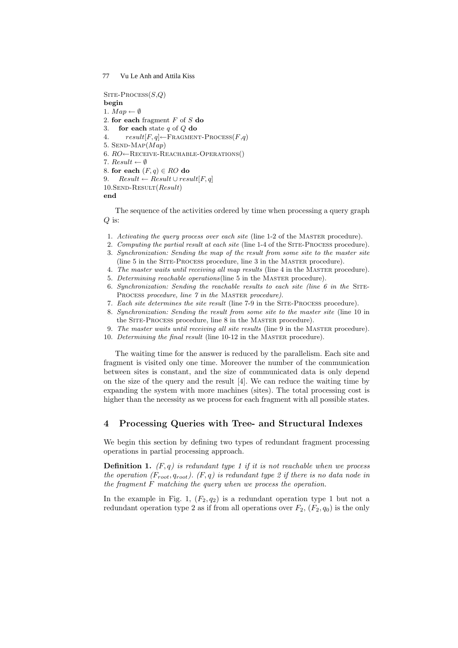$S$ ITE-PROCESS $(S,Q)$ begin 1.  $Map \leftarrow \emptyset$ 2. for each fragment  $F$  of  $S$  do 3. **for each** state  $q$  of  $Q$  do 4.  $result[F, q] \leftarrow FRAGMENT-PROCESS(F, q)$ 5. SEND-MAP $(Map)$ 6.  $RO \leftarrow$ RECEIVE-REACHABLE-OPERATIONS() 7. Result  $\leftarrow \emptyset$ 8. for each  $(F, q) \in RO$  do  $Result \leftarrow Result \cup result[F, q]$  $10.SEND-RESULT(Result)$ end

The sequence of the activities ordered by time when processing a query graph  $Q$  is:

- 1. Activating the query process over each site (line 1-2 of the MASTER procedure).
- 2. Computing the partial result at each site (line 1-4 of the Site-Process procedure).
- 3. Synchronization: Sending the map of the result from some site to the master site (line 5 in the Site-Process procedure, line 3 in the Master procedure).
- 4. The master waits until receiving all map results (line 4 in the Master procedure).
- 5. Determining reachable operations(line 5 in the Master procedure).
- 6. Synchronization: Sending the reachable results to each site (line  $6$  in the SITE-PROCESS procedure, line 7 in the MASTER procedure).
- 7. Each site determines the site result (line 7-9 in the Site-Process procedure).
- 8. Synchronization: Sending the result from some site to the master site (line 10 in the SITE-PROCESS procedure, line 8 in the MASTER procedure).
- 9. The master waits until receiving all site results (line 9 in the Master procedure).
- 10. Determining the final result (line 10-12 in the Master procedure).

The waiting time for the answer is reduced by the parallelism. Each site and fragment is visited only one time. Moreover the number of the communication between sites is constant, and the size of communicated data is only depend on the size of the query and the result [4]. We can reduce the waiting time by expanding the system with more machines (sites). The total processing cost is higher than the necessity as we process for each fragment with all possible states.

### 4 Processing Queries with Tree- and Structural Indexes

We begin this section by defining two types of redundant fragment processing operations in partial processing approach.

**Definition 1.**  $(F, q)$  is redundant type 1 if it is not reachable when we process the operation  $(F_{root}, q_{root})$ .  $(F, q)$  is redundant type 2 if there is no data node in the fragment  $F$  matching the query when we process the operation.

In the example in Fig. 1,  $(F_2, q_2)$  is a redundant operation type 1 but not a redundant operation type 2 as if from all operations over  $F_2$ ,  $(F_2, q_0)$  is the only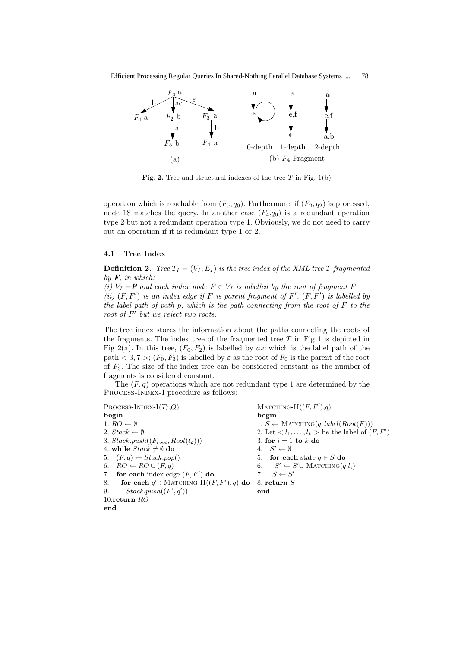

Fig. 2. Tree and structural indexes of the tree  $T$  in Fig. 1(b)

operation which is reachable from  $(F_0, q_0)$ . Furthermore, if  $(F_2, q_2)$  is processed, node 18 matches the query. In another case  $(F_4, q_0)$  is a redundant operation type 2 but not a redundant operation type 1. Obviously, we do not need to carry out an operation if it is redundant type 1 or 2.

#### 4.1 Tree Index

**Definition 2.** Tree  $T_I = (V_I, E_I)$  is the tree index of the XML tree T fragmented by  $\mathbf{F}$ , in which:

(i)  $V_I = \mathbf{F}$  and each index node  $F \in V_I$  is labelled by the root of fragment F (ii)  $(F, F')$  is an index edge if F is parent fragment of F'.  $(F, F')$  is labelled by the label path of path p, which is the path connecting from the root of  $F$  to the root of  $F'$  but we reject two roots.

The tree index stores the information about the paths connecting the roots of the fragments. The index tree of the fragmented tree  $T$  in Fig 1 is depicted in Fig 2(a). In this tree,  $(F_0, F_2)$  is labelled by a.c which is the label path of the path  $< 3, 7 >$ ;  $(F_0, F_3)$  is labelled by  $\varepsilon$  as the root of  $F_0$  is the parent of the root of  $F_3$ . The size of the index tree can be considered constant as the number of fragments is considered constant.

The  $(F, g)$  operations which are not redundant type 1 are determined by the Process-Index-I procedure as follows:

```
PROCESS-INDEX-I(T_I, Q)\text{MATCHING-II}((F, F'), q)begin begin
1. RO \leftarrow \emptyset 1. S \leftarrow \text{MarcHING}(q, label(Root(F)))2. Stack \leftarrow \emptyset 2. Let \langle l_1, \ldots, l_k \rangle be the label of (F, F')3. Stack.push((F_{root}, Root(Q))) 3. for i = 1 to k do
4. while Stack \neq \emptyset do
                                              4. S' \leftarrow \emptyset5. (F, q) \leftarrow Stack.pop() 5. for each state q \in S do
6. RO \leftarrow RO \cup (F, q) 6.
                                                     \mathscr{C} \leftarrow S' \cup \text{Matching}(q, l_i)7. for each index edge (F, F') do
                             \qquad \qquad 7. S \leftarrow S'8. for each q' \in \text{MATCHING-II}((F, F'), q) do 8. return S
9. Stack.push((F', q')) end
10.return RO
end
```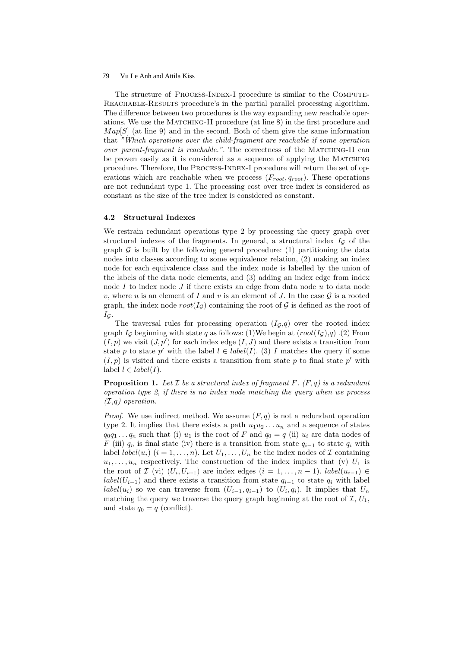The structure of Process-Index-I procedure is similar to the Compute-Reachable-Results procedure's in the partial parallel processing algorithm. The difference between two procedures is the way expanding new reachable operations. We use the MATCHING-II procedure (at line 8) in the first procedure and  $Map[S]$  (at line 9) and in the second. Both of them give the same information that "Which operations over the child-fragment are reachable if some operation over parent-fragment is reachable.". The correctness of the MATCHING-II can be proven easily as it is considered as a sequence of applying the MATCHING procedure. Therefore, the Process-Index-I procedure will return the set of operations which are reachable when we process  $(F_{root}, q_{root})$ . These operations are not redundant type 1. The processing cost over tree index is considered as constant as the size of the tree index is considered as constant.

#### 4.2 Structural Indexes

We restrain redundant operations type 2 by processing the query graph over structural indexes of the fragments. In general, a structural index  $I<sub>G</sub>$  of the graph  $\mathcal G$  is built by the following general procedure: (1) partitioning the data nodes into classes according to some equivalence relation, (2) making an index node for each equivalence class and the index node is labelled by the union of the labels of the data node elements, and (3) adding an index edge from index node I to index node J if there exists an edge from data node  $u$  to data node v, where u is an element of I and v is an element of J. In the case  $\mathcal G$  is a rooted graph, the index node  $root(I_G)$  containing the root of G is defined as the root of  $I_{\mathcal{G}}$ .

The traversal rules for processing operation  $(I_{\mathcal{G}},q)$  over the rooted index graph  $I_G$  beginning with state q as follows: (1)We begin at  $(root(I_G),q)$ . (2) From  $(I, p)$  we visit  $(J, p')$  for each index edge  $(I, J)$  and there exists a transition from state p to state p' with the label  $l \in label(I)$ . (3) I matches the query if some  $(I, p)$  is visited and there exists a transition from state p to final state p' with label  $l \in label(I)$ .

**Proposition 1.** Let  $\mathcal I$  be a structural index of fragment  $F$ .  $(F, q)$  is a redundant operation type 2, if there is no index node matching the query when we process  $(\mathcal{I}, q)$  operation.

*Proof.* We use indirect method. We assume  $(F, q)$  is not a redundant operation type 2. It implies that there exists a path  $u_1u_2 \ldots u_n$  and a sequence of states  $q_0q_1 \ldots q_n$  such that (i)  $u_1$  is the root of F and  $q_0 = q$  (ii)  $u_i$  are data nodes of F (iii)  $q_n$  is final state (iv) there is a transition from state  $q_{i-1}$  to state  $q_i$  with label *label*( $u_i$ ) ( $i = 1, ..., n$ ). Let  $U_1, ..., U_n$  be the index nodes of  $\mathcal I$  containing  $u_1, \ldots, u_n$  respectively. The construction of the index implies that (v)  $U_1$  is the root of  $\mathcal{I}$  (vi)  $(U_i, U_{i+1})$  are index edges  $(i = 1, \ldots, n-1)$ . *label* $(u_{i-1}) \in$ label( $U_{i-1}$ ) and there exists a transition from state  $q_{i-1}$  to state  $q_i$  with label label(u<sub>i</sub>) so we can traverse from  $(U_{i-1}, q_{i-1})$  to  $(U_i, q_i)$ . It implies that  $U_n$ matching the query we traverse the query graph beginning at the root of  $\mathcal{I}, U_1$ , and state  $q_0 = q$  (conflict).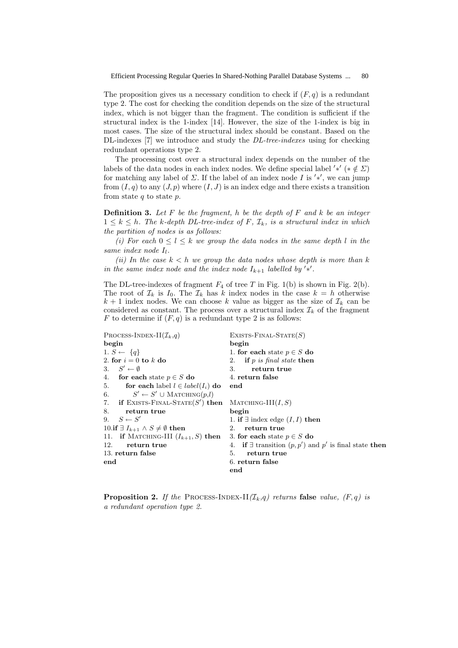The proposition gives us a necessary condition to check if  $(F, q)$  is a redundant type 2. The cost for checking the condition depends on the size of the structural index, which is not bigger than the fragment. The condition is sufficient if the structural index is the 1-index [14]. However, the size of the 1-index is big in most cases. The size of the structural index should be constant. Based on the DL-indexes [7] we introduce and study the *DL-tree-indexes* using for checking redundant operations type 2.

The processing cost over a structural index depends on the number of the labels of the data nodes in each index nodes. We define special label '\*' (\*  $\notin \Sigma$ ) for matching any label of  $\Sigma$ . If the label of an index node I is '\*', we can jump from  $(I, q)$  to any  $(J, p)$  where  $(I, J)$  is an index edge and there exists a transition from state  $q$  to state  $p$ .

**Definition 3.** Let  $F$  be the fragment, h be the depth of  $F$  and  $k$  be an integer  $1 \leq k \leq h$ . The k-depth DL-tree-index of F,  $\mathcal{I}_k$ , is a structural index in which the partition of nodes is as follows:

(i) For each  $0 \leq l \leq k$  we group the data nodes in the same depth l in the same index node  $I_l$ .

(ii) In the case  $k < h$  we group the data nodes whose depth is more than k in the same index node and the index node  $I_{k+1}$  labelled by '\*'.

The DL-tree-indexes of fragment  $F_4$  of tree T in Fig. 1(b) is shown in Fig. 2(b). The root of  $\mathcal{I}_k$  is  $I_0$ . The  $\mathcal{I}_k$  has k index nodes in the case  $k = h$  otherwise  $k + 1$  index nodes. We can choose k value as bigger as the size of  $\mathcal{I}_k$  can be considered as constant. The process over a structural index  $\mathcal{I}_k$  of the fragment F to determine if  $(F, q)$  is a redundant type 2 is as follows:

```
PROCESS-INDEX-II(\mathcal{I}_k,q) EXISTS-FINAL-STATE(S)
begin begin
1. S \leftarrow \{q\} 1. for each state p \in S do
2. for i = 0 to k do 2. if p is final state then
3. S' \leftarrow \emptyset3. return true
4. for each state p \in S do 4. return false
5. for each label l \in label(I_i) do end
6. S' \leftarrow S' \cup \text{MarcHING}(p,l)7. if EXISTS-FINAL-STATE(S'MATCHING-III(I, S)8. return true begin
9. S \leftarrow S'1. if ∃ index edge (I, I) then
10.if \exists I_{k+1} \land S \neq \emptyset then 2. return true
11. if MATCHING-III (I_{k+1}, S) then 3. for each state p \in S do
12. return true 4. if \exists transition (p, p') and p' is final state then
13. return false 5. return true
end 6. return false
                                end
```
**Proposition 2.** If the PROCESS-INDEX-II $(\mathcal{I}_k,q)$  returns false value,  $(F,q)$  is a redundant operation type 2.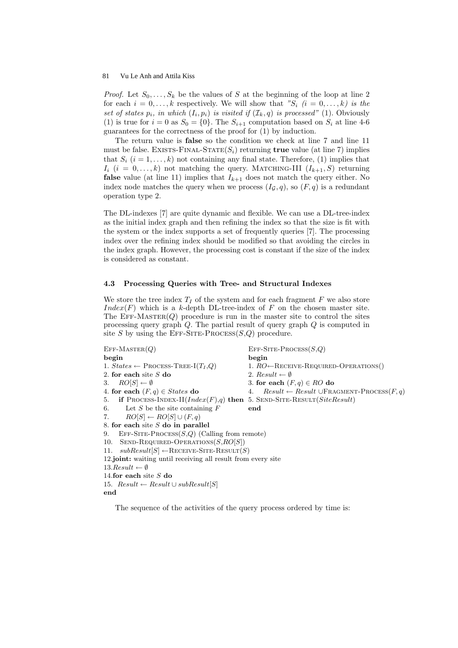*Proof.* Let  $S_0, \ldots, S_k$  be the values of S at the beginning of the loop at line 2 for each  $i = 0, \ldots, k$  respectively. We will show that " $S_i$   $(i = 0, \ldots, k)$  is the set of states  $p_i$ , in which  $(I_i, p_i)$  is visited if  $(\mathcal{I}_k, q)$  is processed" (1). Obviously (1) is true for  $i = 0$  as  $S_0 = \{0\}$ . The  $S_{i+1}$  computation based on  $S_i$  at line 4-6 guarantees for the correctness of the proof for (1) by induction.

The return value is false so the condition we check at line 7 and line 11 must be false. EXISTS-FINAL-STATE $(S_i)$  returning true value (at line 7) implies that  $S_i$   $(i = 1, \ldots, k)$  not containing any final state. Therefore, (1) implies that  $I_i$  (i = 0,...,k) not matching the query. MATCHING-III ( $I_{k+1}, S$ ) returning **false** value (at line 11) implies that  $I_{k+1}$  does not match the query either. No index node matches the query when we process  $(I_{\mathcal{G}}, q)$ , so  $(F, q)$  is a redundant operation type 2.

The DL-indexes [7] are quite dynamic and flexible. We can use a DL-tree-index as the initial index graph and then refining the index so that the size is fit with the system or the index supports a set of frequently queries [7]. The processing index over the refining index should be modified so that avoiding the circles in the index graph. However, the processing cost is constant if the size of the index is considered as constant.

#### 4.3 Processing Queries with Tree- and Structural Indexes

We store the tree index  $T_I$  of the system and for each fragment F we also store Index(F) which is a k-depth DL-tree-index of F on the chosen master site. The EFF-MASTER $(Q)$  procedure is run in the master site to control the sites processing query graph  $Q$ . The partial result of query graph  $Q$  is computed in site S by using the EFF-SITE-PROCESS( $S,Q$ ) procedure.

| $EFF-MASTER(Q)$                                                                  | $EFF-SITE-PROCESS(S,Q)$                                           |
|----------------------------------------------------------------------------------|-------------------------------------------------------------------|
| begin                                                                            | begin                                                             |
| 1. $States \leftarrow$ PROCESS-TREE-I $(T_I, Q)$                                 | 1. $RO \leftarrow$ RECEIVE-REQUIRED-OPERATIONS()                  |
| 2. for each site $S$ do                                                          | 2. Result $\leftarrow \emptyset$                                  |
| 3. $RO[S] \leftarrow \emptyset$                                                  | 3. for each $(F, q) \in RO$ do                                    |
| 4. for each $(F, q) \in States$ do                                               | $Result \leftarrow Result \cup \text{FRAGMENT-PROCES}(F,q)$<br>4. |
| 5. if PROCESS-INDEX-II( $Index(F), q$ ) then 5. SEND-SITE-RESULT( $SiteResult$ ) |                                                                   |
| 6. Let S be the site containing $F$                                              | end                                                               |
| 7. $RO[S] \leftarrow RO[S] \cup (F, q)$                                          |                                                                   |
| 8. for each site $S$ do in parallel                                              |                                                                   |
| EFF-SITE-PROCESS $(S,Q)$ (Calling from remote)<br>9.                             |                                                                   |
| 10. SEND-REQUIRED-OPERATIONS $(S, RO[S])$                                        |                                                                   |
| 11. $subResult[S] \leftarrow$ RECEIVE-SITE-RESULT(S)                             |                                                                   |
| 12.joint: waiting until receiving all result from every site                     |                                                                   |
| $13. Result \leftarrow \emptyset$                                                |                                                                   |
| 14.for each site $S$ do                                                          |                                                                   |
| 15. $Result \leftarrow Result \cup subResult[S]$                                 |                                                                   |
| end                                                                              |                                                                   |
|                                                                                  |                                                                   |

The sequence of the activities of the query process ordered by time is: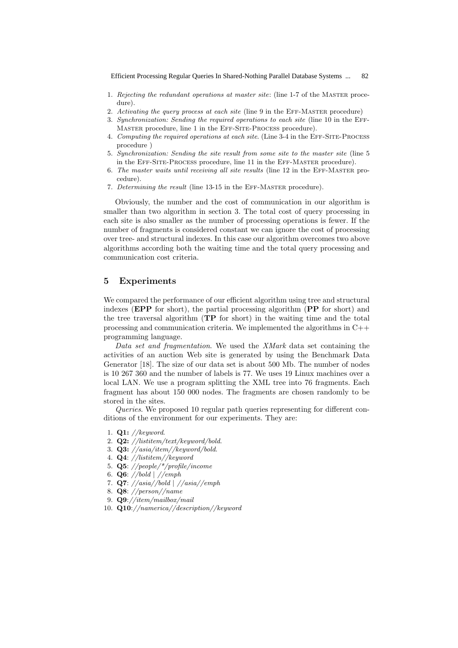82 Efficient Processing Regular Queries In Shared-Nothing Parallel Database Systems ...

- 1. Rejecting the redundant operations at master site: (line 1-7 of the Master procedure).
- 2. Activating the query process at each site (line 9 in the EFF-MASTER procedure)
- 3. Synchronization: Sending the required operations to each site (line 10 in the Eff-MASTER procedure, line 1 in the EFF-SITE-PROCESS procedure).
- 4. Computing the required operations at each site. (Line 3-4 in the Eff-Site-Process procedure )
- 5. Synchronization: Sending the site result from some site to the master site (line 5 in the Eff-Site-Process procedure, line 11 in the Eff-Master procedure).
- 6. The master waits until receiving all site results (line 12 in the Eff-Master procedure).
- 7. Determining the result (line 13-15 in the Eff-Master procedure).

Obviously, the number and the cost of communication in our algorithm is smaller than two algorithm in section 3. The total cost of query processing in each site is also smaller as the number of processing operations is fewer. If the number of fragments is considered constant we can ignore the cost of processing over tree- and structural indexes. In this case our algorithm overcomes two above algorithms according both the waiting time and the total query processing and communication cost criteria.

### 5 Experiments

We compared the performance of our efficient algorithm using tree and structural indexes (**EPP** for short), the partial processing algorithm (**PP** for short) and the tree traversal algorithm (TP for short) in the waiting time and the total processing and communication criteria. We implemented the algorithms in C++ programming language.

Data set and fragmentation. We used the XMark data set containing the activities of an auction Web site is generated by using the Benchmark Data Generator [18]. The size of our data set is about 500 Mb. The number of nodes is 10 267 360 and the number of labels is 77. We uses 19 Linux machines over a local LAN. We use a program splitting the XML tree into 76 fragments. Each fragment has about 150 000 nodes. The fragments are chosen randomly to be stored in the sites.

Queries. We proposed 10 regular path queries representing for different conditions of the environment for our experiments. They are:

- 1. Q1: //keyword.
- 2. Q2: //listitem/text/keyword/bold.
- 3.  $Q3: //asiaj/item// keyword/bold.$
- 4. Q4: //listitem//keyword
- 5. Q5: //people/\*/profile/income
- 6. Q6: //bold | //emph
- 7. Q7: //asia//bold | //asia//emph
- 8. Q8: //person//name
- 9. Q9://item/mailbox/mail
- 10. Q10://namerica//description//keyword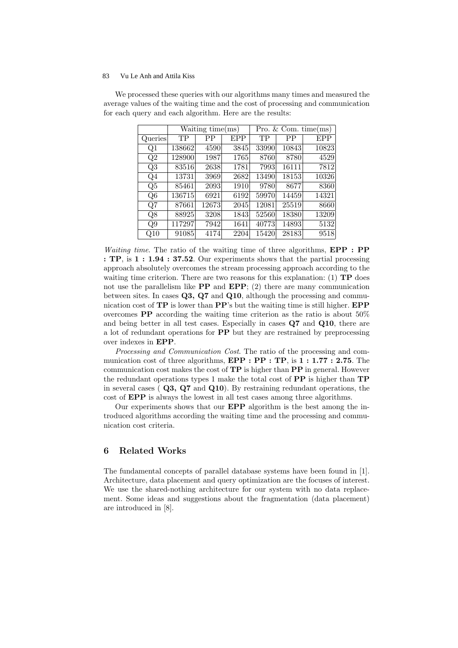|              | Waiting time(ms) |       |      | Pro. $& Com. time(ms)$ |       |            |
|--------------|------------------|-------|------|------------------------|-------|------------|
| Queries      | TP               | PP    | EPP  | TР                     | PP    | <b>EPP</b> |
| Q1           | 138662           | 4590  | 3845 | 33990                  | 10843 | 10823      |
| Q2           | 128900           | 1987  | 1765 | 8760                   | 8780  | 4529       |
| Q3           | 83516            | 2638  | 1781 | 7993                   | 16111 | 7812       |
| Q4           | 13731            | 3969  | 2682 | 13490                  | 18153 | 10326      |
| Q5           | 85461            | 2093  | 1910 | 9780                   | 8677  | 8360       |
| Q6           | 136715           | 6921  | 6192 | 59970                  | 14459 | 14321      |
| Q7           | 87661            | 12673 | 2045 | 12081                  | 25519 | 8660       |
| Q8           | 88925            | 3208  | 1843 | 52560                  | 18380 | 13209      |
| Q9           | 117297           | 7942  | 1641 | 40773                  | 14893 | 5132       |
| $_{\rm Q10}$ | 91085            | 4174  | 2204 | 15420                  | 28183 | 9518       |

We processed these queries with our algorithms many times and measured the average values of the waiting time and the cost of processing and communication for each query and each algorithm. Here are the results:

Waiting time. The ratio of the waiting time of three algorithms, **EPP** : **PP** : TP, is  $1:1.94:37.52$ . Our experiments shows that the partial processing approach absolutely overcomes the stream processing approach according to the waiting time criterion. There are two reasons for this explanation: (1)  $\mathbf{TP}$  does not use the parallelism like  $\bf PP$  and  $\bf EPP$ ; (2) there are many communication between sites. In cases  $Q3$ ,  $Q7$  and  $Q10$ , although the processing and communication cost of  $\mathbf{TP}$  is lower than  $\mathbf{PP}'$ 's but the waiting time is still higher.  $\mathbf{EPP}$ overcomes PP according the waiting time criterion as the ratio is about 50% and being better in all test cases. Especially in cases Q7 and Q10, there are a lot of redundant operations for PP but they are restrained by preprocessing over indexes in EPP.

Processing and Communication Cost. The ratio of the processing and communication cost of three algorithms,  $\text{EPP : PP : TP : i} 1:1.77 : 2.75$ . The communication cost makes the cost of  $\mathbf{TP}$  is higher than  $\mathbf{PP}$  in general. However the redundant operations types 1 make the total cost of  $\bf PP$  is higher than  $\bf TP$ in several cases ( $\mathbf{Q3}, \mathbf{Q7}$  and  $\mathbf{Q10}$ ). By restraining redundant operations, the cost of EPP is always the lowest in all test cases among three algorithms.

Our experiments shows that our EPP algorithm is the best among the introduced algorithms according the waiting time and the processing and communication cost criteria.

# 6 Related Works

The fundamental concepts of parallel database systems have been found in [1]. Architecture, data placement and query optimization are the focuses of interest. We use the shared-nothing architecture for our system with no data replacement. Some ideas and suggestions about the fragmentation (data placement) are introduced in [8].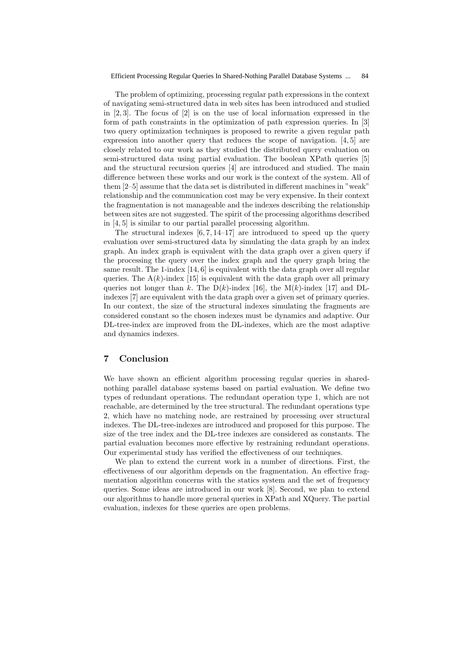The problem of optimizing, processing regular path expressions in the context of navigating semi-structured data in web sites has been introduced and studied in [2, 3]. The focus of [2] is on the use of local information expressed in the form of path constraints in the optimization of path expression queries. In [3] two query optimization techniques is proposed to rewrite a given regular path expression into another query that reduces the scope of navigation. [4, 5] are closely related to our work as they studied the distributed query evaluation on semi-structured data using partial evaluation. The boolean XPath queries [5] and the structural recursion queries [4] are introduced and studied. The main difference between these works and our work is the context of the system. All of them [2–5] assume that the data set is distributed in different machines in "weak" relationship and the communication cost may be very expensive. In their context the fragmentation is not manageable and the indexes describing the relationship between sites are not suggested. The spirit of the processing algorithms described in [4, 5] is similar to our partial parallel processing algorithm.

The structural indexes  $[6, 7, 14-17]$  are introduced to speed up the query evaluation over semi-structured data by simulating the data graph by an index graph. An index graph is equivalent with the data graph over a given query if the processing the query over the index graph and the query graph bring the same result. The 1-index  $[14, 6]$  is equivalent with the data graph over all regular queries. The  $A(k)$ -index [15] is equivalent with the data graph over all primary queries not longer than k. The  $D(k)$ -index [16], the M(k)-index [17] and DLindexes [7] are equivalent with the data graph over a given set of primary queries. In our context, the size of the structural indexes simulating the fragments are considered constant so the chosen indexes must be dynamics and adaptive. Our DL-tree-index are improved from the DL-indexes, which are the most adaptive and dynamics indexes.

# 7 Conclusion

We have shown an efficient algorithm processing regular queries in sharednothing parallel database systems based on partial evaluation. We define two types of redundant operations. The redundant operation type 1, which are not reachable, are determined by the tree structural. The redundant operations type 2, which have no matching node, are restrained by processing over structural indexes. The DL-tree-indexes are introduced and proposed for this purpose. The size of the tree index and the DL-tree indexes are considered as constants. The partial evaluation becomes more effective by restraining redundant operations. Our experimental study has verified the effectiveness of our techniques.

We plan to extend the current work in a number of directions. First, the effectiveness of our algorithm depends on the fragmentation. An effective fragmentation algorithm concerns with the statics system and the set of frequency queries. Some ideas are introduced in our work [8]. Second, we plan to extend our algorithms to handle more general queries in XPath and XQuery. The partial evaluation, indexes for these queries are open problems.